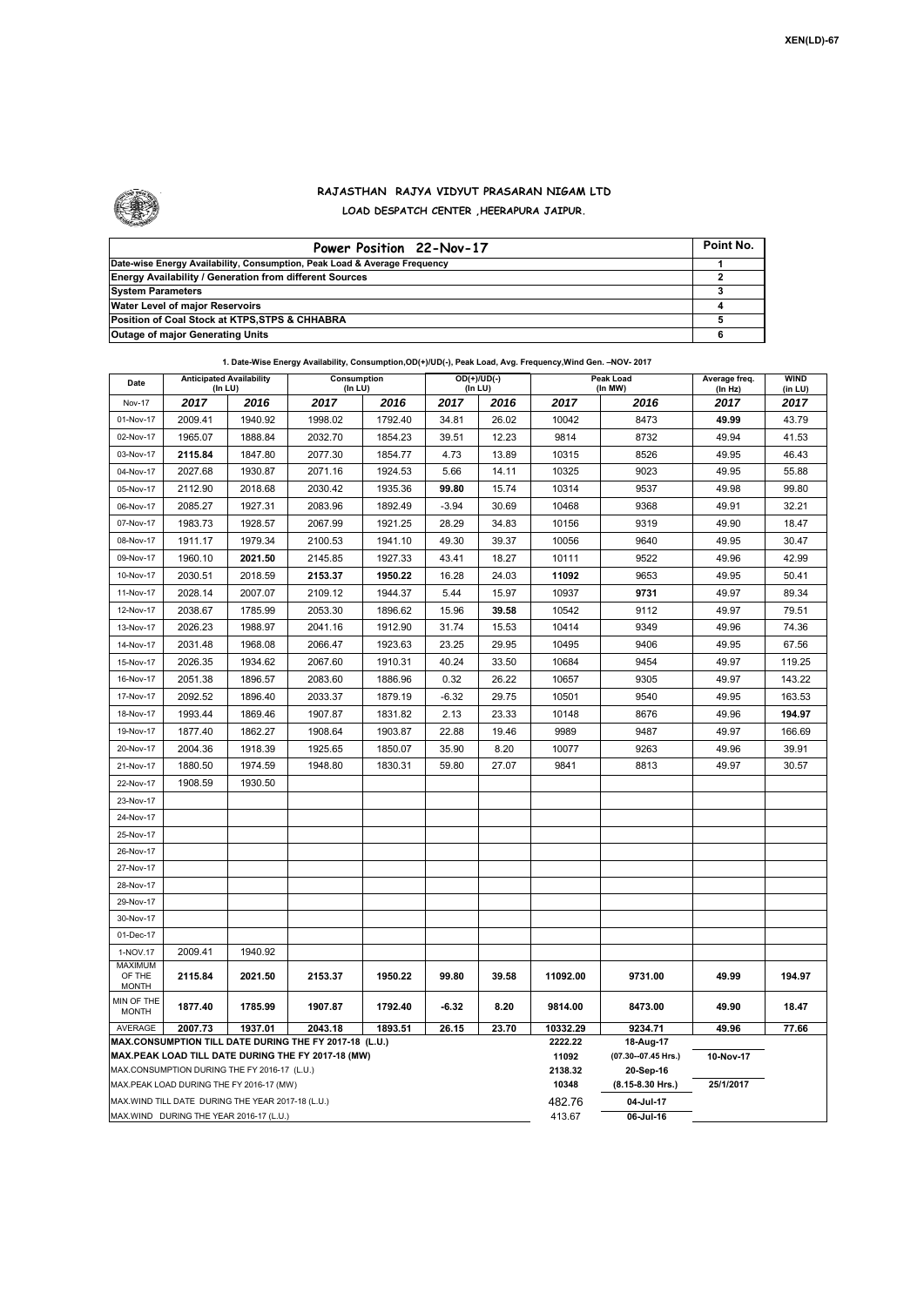

## **RAJASTHAN RAJYA VIDYUT PRASARAN NIGAM LTD LOAD DESPATCH CENTER ,HEERAPURA JAIPUR.**

| Power Position 22-Nov-17                                                  | Point No. |
|---------------------------------------------------------------------------|-----------|
| Date-wise Energy Availability, Consumption, Peak Load & Average Frequency |           |
| <b>Energy Availability / Generation from different Sources</b>            |           |
| <b>System Parameters</b>                                                  |           |
| Water Level of major Reservoirs                                           |           |
| Position of Coal Stock at KTPS, STPS & CHHABRA                            |           |
| <b>Outage of major Generating Units</b>                                   |           |

|                            |                                                    |         | 1. Date-Wise Energy Availability, Consumption, OD(+)/UD(-), Peak Load, Avg. Frequency, Wind Gen. - NOV- 2017 |                              |         |                          |                  |                                  |                          |                        |
|----------------------------|----------------------------------------------------|---------|--------------------------------------------------------------------------------------------------------------|------------------------------|---------|--------------------------|------------------|----------------------------------|--------------------------|------------------------|
| Date                       | <b>Anticipated Availability</b><br>(In LU)         |         |                                                                                                              | Consumption<br>$($ In LU $)$ |         | $OD(+)/UD(-)$<br>(In LU) |                  | Peak Load<br>(In MW)             | Average freq.<br>(In Hz) | <b>WIND</b><br>(in LU) |
| Nov-17                     | 2017                                               | 2016    | 2017                                                                                                         | 2016                         | 2017    | 2016                     | 2017             | 2016                             | 2017                     | 2017                   |
| 01-Nov-17                  | 2009.41                                            | 1940.92 | 1998.02                                                                                                      | 1792.40                      | 34.81   | 26.02                    | 10042            | 8473                             | 49.99                    | 43.79                  |
| 02-Nov-17                  | 1965.07                                            | 1888.84 | 2032.70                                                                                                      | 1854.23                      | 39.51   | 12.23                    | 9814             | 8732                             | 49.94                    | 41.53                  |
| 03-Nov-17                  | 2115.84                                            | 1847.80 | 2077.30                                                                                                      | 1854.77                      | 4.73    | 13.89                    | 10315            | 8526                             | 49.95                    | 46.43                  |
| 04-Nov-17                  | 2027.68                                            | 1930.87 | 2071.16                                                                                                      | 1924.53                      | 5.66    | 14.11                    | 10325            | 9023                             | 49.95                    | 55.88                  |
| 05-Nov-17                  | 2112.90                                            | 2018.68 | 2030.42                                                                                                      | 1935.36                      | 99.80   | 15.74                    | 10314            | 9537                             | 49.98                    | 99.80                  |
| 06-Nov-17                  | 2085.27                                            | 1927.31 | 2083.96                                                                                                      | 1892.49                      | $-3.94$ | 30.69                    | 10468            | 9368                             | 49.91                    | 32.21                  |
| 07-Nov-17                  | 1983.73                                            | 1928.57 | 2067.99                                                                                                      | 1921.25                      | 28.29   | 34.83                    | 10156            | 9319                             | 49.90                    | 18.47                  |
| 08-Nov-17                  | 1911.17                                            | 1979.34 | 2100.53                                                                                                      | 1941.10                      | 49.30   | 39.37                    | 10056            | 9640                             | 49.95                    | 30.47                  |
| 09-Nov-17                  | 1960.10                                            | 2021.50 | 2145.85                                                                                                      | 1927.33                      | 43.41   | 18.27                    | 10111            | 9522                             | 49.96                    | 42.99                  |
| 10-Nov-17                  | 2030.51                                            | 2018.59 | 2153.37                                                                                                      | 1950.22                      | 16.28   | 24.03                    | 11092            | 9653                             | 49.95                    | 50.41                  |
| 11-Nov-17                  | 2028.14                                            | 2007.07 | 2109.12                                                                                                      | 1944.37                      | 5.44    | 15.97                    | 10937            | 9731                             | 49.97                    | 89.34                  |
| 12-Nov-17                  | 2038.67                                            | 1785.99 | 2053.30                                                                                                      | 1896.62                      | 15.96   | 39.58                    | 10542            | 9112                             | 49.97                    | 79.51                  |
| 13-Nov-17                  | 2026.23                                            | 1988.97 | 2041.16                                                                                                      | 1912.90                      | 31.74   | 15.53                    | 10414            | 9349                             | 49.96                    | 74.36                  |
| 14-Nov-17                  | 2031.48                                            | 1968.08 | 2066.47                                                                                                      | 1923.63                      | 23.25   | 29.95                    | 10495            | 9406                             | 49.95                    | 67.56                  |
| 15-Nov-17                  | 2026.35                                            | 1934.62 | 2067.60                                                                                                      | 1910.31                      | 40.24   | 33.50                    | 10684            | 9454                             | 49.97                    | 119.25                 |
| 16-Nov-17                  | 2051.38                                            | 1896.57 | 2083.60                                                                                                      | 1886.96                      | 0.32    | 26.22                    | 10657            | 9305                             | 49.97                    | 143.22                 |
| 17-Nov-17                  | 2092.52                                            | 1896.40 | 2033.37                                                                                                      | 1879.19                      | $-6.32$ | 29.75                    | 10501            | 9540                             | 49.95                    | 163.53                 |
| 18-Nov-17                  | 1993.44                                            | 1869.46 | 1907.87                                                                                                      | 1831.82                      | 2.13    | 23.33                    | 10148            | 8676                             | 49.96                    | 194.97                 |
| 19-Nov-17                  | 1877.40                                            | 1862.27 | 1908.64                                                                                                      | 1903.87                      | 22.88   | 19.46                    | 9989             | 9487                             | 49.97                    | 166.69                 |
| 20-Nov-17                  | 2004.36                                            | 1918.39 | 1925.65                                                                                                      | 1850.07                      | 35.90   | 8.20                     | 10077            | 9263                             | 49.96                    | 39.91                  |
|                            |                                                    |         |                                                                                                              |                              |         | 27.07                    |                  | 8813                             |                          |                        |
| 21-Nov-17<br>22-Nov-17     | 1880.50                                            | 1974.59 | 1948.80                                                                                                      | 1830.31                      | 59.80   |                          | 9841             |                                  | 49.97                    | 30.57                  |
|                            | 1908.59                                            | 1930.50 |                                                                                                              |                              |         |                          |                  |                                  |                          |                        |
| 23-Nov-17                  |                                                    |         |                                                                                                              |                              |         |                          |                  |                                  |                          |                        |
| 24-Nov-17                  |                                                    |         |                                                                                                              |                              |         |                          |                  |                                  |                          |                        |
| 25-Nov-17                  |                                                    |         |                                                                                                              |                              |         |                          |                  |                                  |                          |                        |
| 26-Nov-17                  |                                                    |         |                                                                                                              |                              |         |                          |                  |                                  |                          |                        |
| 27-Nov-17<br>28-Nov-17     |                                                    |         |                                                                                                              |                              |         |                          |                  |                                  |                          |                        |
| 29-Nov-17                  |                                                    |         |                                                                                                              |                              |         |                          |                  |                                  |                          |                        |
| 30-Nov-17                  |                                                    |         |                                                                                                              |                              |         |                          |                  |                                  |                          |                        |
| 01-Dec-17                  |                                                    |         |                                                                                                              |                              |         |                          |                  |                                  |                          |                        |
| 1-NOV.17                   | 2009.41                                            | 1940.92 |                                                                                                              |                              |         |                          |                  |                                  |                          |                        |
| <b>MAXIMUM</b>             |                                                    |         |                                                                                                              |                              |         |                          |                  |                                  |                          |                        |
| OF THE<br><b>MONTH</b>     | 2115.84                                            | 2021.50 | 2153.37                                                                                                      | 1950.22                      | 99.80   | 39.58                    | 11092.00         | 9731.00                          | 49.99                    | 194.97                 |
| MIN OF THE<br><b>MONTH</b> | 1877.40                                            | 1785.99 | 1907.87                                                                                                      | 1792.40                      | -6.32   | 8.20                     | 9814.00          | 8473.00                          | 49.90                    | 18.47                  |
| AVERAGE                    | 2007.73                                            | 1937.01 | 2043.18                                                                                                      | 1893.51                      | 26.15   | 23.70                    | 10332.29         | 9234.71                          | 49.96                    | 77.66                  |
|                            |                                                    |         | MAX.CONSUMPTION TILL DATE DURING THE FY 2017-18 (L.U.)<br>MAX.PEAK LOAD TILL DATE DURING THE FY 2017-18 (MW) |                              |         |                          | 2222.22<br>11092 | 18-Aug-17<br>(07.30--07.45 Hrs.) | 10-Nov-17                |                        |
|                            | MAX.CONSUMPTION DURING THE FY 2016-17 (L.U.)       |         |                                                                                                              |                              |         |                          | 2138.32          | 20-Sep-16                        |                          |                        |
|                            | MAX.PEAK LOAD DURING THE FY 2016-17 (MW)           |         |                                                                                                              |                              |         |                          | 10348            | $(8.15 8.30$ Hrs.)               | 25/1/2017                |                        |
|                            | MAX. WIND TILL DATE DURING THE YEAR 2017-18 (L.U.) |         |                                                                                                              |                              |         |                          | 482.76           | 04-Jul-17                        |                          |                        |
|                            | MAX.WIND DURING THE YEAR 2016-17 (L.U.)            |         |                                                                                                              |                              |         |                          | 413.67           | 06-Jul-16                        |                          |                        |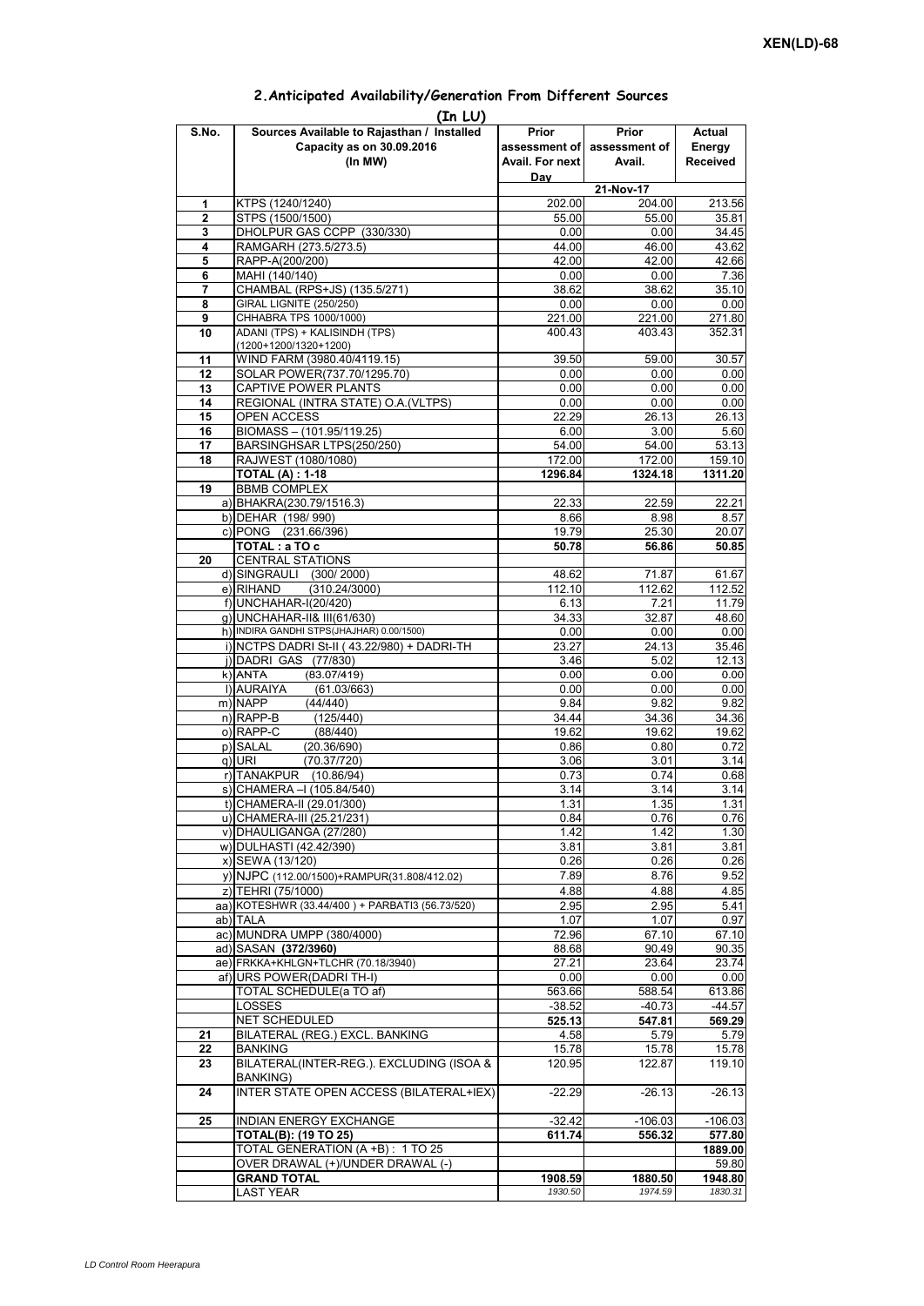| (In LU)      |                                                 |                    |                             |                 |  |  |  |  |  |  |
|--------------|-------------------------------------------------|--------------------|-----------------------------|-----------------|--|--|--|--|--|--|
| S.No.        | Sources Available to Rajasthan / Installed      | Prior              | Prior                       | Actual          |  |  |  |  |  |  |
|              | Capacity as on 30.09.2016                       |                    | assessment of assessment of | Energy          |  |  |  |  |  |  |
|              | (In MW)                                         | Avail. For next    | Avail.                      | <b>Received</b> |  |  |  |  |  |  |
|              |                                                 | Day                |                             |                 |  |  |  |  |  |  |
|              |                                                 |                    | 21-Nov-17                   |                 |  |  |  |  |  |  |
| 1            | KTPS (1240/1240)                                | 202.00             | 204.00                      | 213.56          |  |  |  |  |  |  |
| $\mathbf{2}$ | STPS (1500/1500)                                | 55.00              | 55.00                       | 35.81           |  |  |  |  |  |  |
| 3            | DHOLPUR GAS CCPP (330/330)                      | 0.00               | 0.00                        | 34.45           |  |  |  |  |  |  |
| 4            | RAMGARH (273.5/273.5)                           | 44.00              | 46.00                       | 43.62           |  |  |  |  |  |  |
| 5            | RAPP-A(200/200)                                 | 42.00              | 42.00                       | 42.66           |  |  |  |  |  |  |
| 6            | MAHI (140/140)                                  | 0.00               | 0.00                        | 7.36            |  |  |  |  |  |  |
| 7            | CHAMBAL (RPS+JS) (135.5/271)                    | 38.62              | 38.62                       | 35.10           |  |  |  |  |  |  |
| 8            | <b>GIRAL LIGNITE (250/250)</b>                  | 0.00               | 0.00                        | 0.00            |  |  |  |  |  |  |
| 9            | CHHABRA TPS 1000/1000)                          | 221.00             | 221.00                      | 271.80          |  |  |  |  |  |  |
| 10           | ADANI (TPS) + KALISINDH (TPS)                   | 400.43             | 403.43                      | 352.31          |  |  |  |  |  |  |
|              | (1200+1200/1320+1200)                           |                    |                             |                 |  |  |  |  |  |  |
| 11           | WIND FARM (3980.40/4119.15)                     | 39.50              | 59.00                       | 30.57           |  |  |  |  |  |  |
| 12           | SOLAR POWER(737.70/1295.70)                     | 0.00               | 0.00                        | 0.00            |  |  |  |  |  |  |
| 13           | CAPTIVE POWER PLANTS                            | 0.00               | 0.00                        | 0.00            |  |  |  |  |  |  |
| 14           | REGIONAL (INTRA STATE) O.A. (VLTPS)             | 0.00               | 0.00                        | 0.00            |  |  |  |  |  |  |
| 15           | OPEN ACCESS                                     | 22.29              | 26.13                       | 26.13           |  |  |  |  |  |  |
| 16           | BIOMASS - (101.95/119.25)                       | 6.00               | 3.00                        | 5.60            |  |  |  |  |  |  |
| 17           | BARSINGHSAR LTPS(250/250)                       | 54.00              | 54.00                       | 53.13           |  |  |  |  |  |  |
| 18           | RAJWEST (1080/1080)                             | 172.00             | 172.00                      | 159.10          |  |  |  |  |  |  |
|              | <b>TOTAL (A): 1-18</b>                          | 1296.84            | 1324.18                     | 1311.20         |  |  |  |  |  |  |
| 19           | <b>BBMB COMPLEX</b>                             |                    |                             |                 |  |  |  |  |  |  |
|              | a) BHAKRA(230.79/1516.3)                        | 22.33              | 22.59                       | 22.21           |  |  |  |  |  |  |
|              | b) DEHAR (198/990)                              | 8.66               | 8.98                        | 8.57            |  |  |  |  |  |  |
|              | c) PONG (231.66/396)                            | 19.79              | 25.30                       | 20.07           |  |  |  |  |  |  |
|              | TOTAL: a TO c                                   |                    |                             |                 |  |  |  |  |  |  |
| 20           | <b>CENTRAL STATIONS</b>                         | 50.78              | 56.86                       | 50.85           |  |  |  |  |  |  |
|              | d) SINGRAULI (300/2000)                         | 48.62              | 71.87                       | 61.67           |  |  |  |  |  |  |
|              | e) RIHAND<br>(310.24/3000)                      | 112.10             | 112.62                      | 112.52          |  |  |  |  |  |  |
|              |                                                 |                    |                             |                 |  |  |  |  |  |  |
|              | f) UNCHAHAR-I(20/420)                           | 6.13               | 7.21                        | 11.79           |  |  |  |  |  |  |
|              | q) UNCHAHAR-II& III(61/630)                     | 34.33              | 32.87                       | 48.60           |  |  |  |  |  |  |
|              | h) INDIRA GANDHI STPS(JHAJHAR) 0.00/1500)       | 0.00               | 0.00                        | 0.00            |  |  |  |  |  |  |
|              | i) NCTPS DADRI St-II (43.22/980) + DADRI-TH     | $23.\overline{27}$ | 24.13                       | 35.46           |  |  |  |  |  |  |
|              | j) DADRI GAS (77/830)                           | 3.46               | 5.02                        | 12.13           |  |  |  |  |  |  |
|              | $k)$ ANTA<br>(83.07/419)                        | 0.00               | 0.00                        | 0.00            |  |  |  |  |  |  |
|              | I) AURAIYA<br>(61.03/663)                       | 0.00               | 0.00                        | 0.00            |  |  |  |  |  |  |
|              | m) NAPP<br>(44/440)                             | 9.84               | 9.82                        | 9.82            |  |  |  |  |  |  |
|              | $n)$ RAPP-B<br>(125/440)                        | 34.44              | 34.36                       | 34.36           |  |  |  |  |  |  |
|              | o) RAPP-C<br>(88/440)                           | 19.62              | 19.62                       | 19.62           |  |  |  |  |  |  |
|              | p) SALAL<br>(20.36/690)                         | 0.86               | 0.80                        | 0.72            |  |  |  |  |  |  |
|              | q) URI<br>(70.37/720)                           | 3.06               | 3.01                        | 3.14            |  |  |  |  |  |  |
|              | r) TANAKPUR<br>(10.86/94)                       | 0.73               | 0.74                        | 0.68            |  |  |  |  |  |  |
|              | s) CHAMERA - I (105.84/540)                     | 3.14               | 3.14                        | 3.14            |  |  |  |  |  |  |
|              | t) CHAMERA-II (29.01/300)                       | 1.31               | 1.35                        | 1.31            |  |  |  |  |  |  |
|              | u) CHAMERA-III (25.21/231)                      | 0.84               | 0.76                        | 0.76            |  |  |  |  |  |  |
|              | v) DHAULIGANGA (27/280)                         | 1.42               | 1.42                        | 1.30            |  |  |  |  |  |  |
|              | w) DULHASTI (42.42/390)                         | 3.81               | 3.81                        | 3.81            |  |  |  |  |  |  |
|              | x) SEWA (13/120)                                | 0.26               | 0.26                        | 0.26            |  |  |  |  |  |  |
|              | y) NJPC (112.00/1500) + RAMPUR(31.808/412.02)   | 7.89               | 8.76                        | 9.52            |  |  |  |  |  |  |
|              | z) TEHRI (75/1000)                              | 4.88               | 4.88                        | 4.85            |  |  |  |  |  |  |
|              | aa) KOTESHWR (33.44/400) + PARBATI3 (56.73/520) | 2.95               | 2.95                        | 5.41            |  |  |  |  |  |  |
|              | ab) TALA                                        | 1.07               | 1.07                        | 0.97            |  |  |  |  |  |  |
|              | ac) MUNDRA UMPP (380/4000)                      | 72.96              | 67.10                       | 67.10           |  |  |  |  |  |  |
|              | ad) SASAN (372/3960)                            | 88.68              | 90.49                       | 90.35           |  |  |  |  |  |  |
|              | ae) FRKKA+KHLGN+TLCHR (70.18/3940)              | 27.21              | 23.64                       | 23.74           |  |  |  |  |  |  |
|              | af) URS POWER(DADRI TH-I)                       | 0.00               | 0.00                        | 0.00            |  |  |  |  |  |  |
|              | <b>TOTAL SCHEDULE(a TO af)</b>                  | 563.66             | 588.54                      | 613.86          |  |  |  |  |  |  |
|              | LOSSES                                          | $-38.52$           | $-40.73$                    | $-44.57$        |  |  |  |  |  |  |
|              | NET SCHEDULED                                   | 525.13             | 547.81                      | 569.29          |  |  |  |  |  |  |
| 21           | BILATERAL (REG.) EXCL. BANKING                  | 4.58               | 5.79                        | 5.79            |  |  |  |  |  |  |
| 22           | <b>BANKING</b>                                  | 15.78              | 15.78                       | 15.78           |  |  |  |  |  |  |
| 23           | BILATERAL(INTER-REG.). EXCLUDING (ISOA &        | 120.95             | 122.87                      | 119.10          |  |  |  |  |  |  |
|              | <b>BANKING)</b>                                 |                    |                             |                 |  |  |  |  |  |  |
| 24           | INTER STATE OPEN ACCESS (BILATERAL+IEX)         | $-22.29$           | $-26.13$                    | $-26.13$        |  |  |  |  |  |  |
|              |                                                 |                    |                             |                 |  |  |  |  |  |  |
| 25           | <b>INDIAN ENERGY EXCHANGE</b>                   | $-32.42$           | $-106.03$                   | $-106.03$       |  |  |  |  |  |  |
|              | <b>TOTAL(B): (19 TO 25)</b>                     | 611.74             | 556.32                      | 577.80          |  |  |  |  |  |  |
|              | TOTAL GENERATION (A +B) : 1 TO 25               |                    |                             | 1889.00         |  |  |  |  |  |  |
|              | OVER DRAWAL (+)/UNDER DRAWAL (-)                |                    |                             | 59.80           |  |  |  |  |  |  |
|              | <b>GRAND TOTAL</b>                              | 1908.59            | 1880.50                     | 1948.80         |  |  |  |  |  |  |
|              | <b>LAST YEAR</b>                                | 1930.50            | 1974.59                     | 1830.31         |  |  |  |  |  |  |

## **2.Anticipated Availability/Generation From Different Sources**